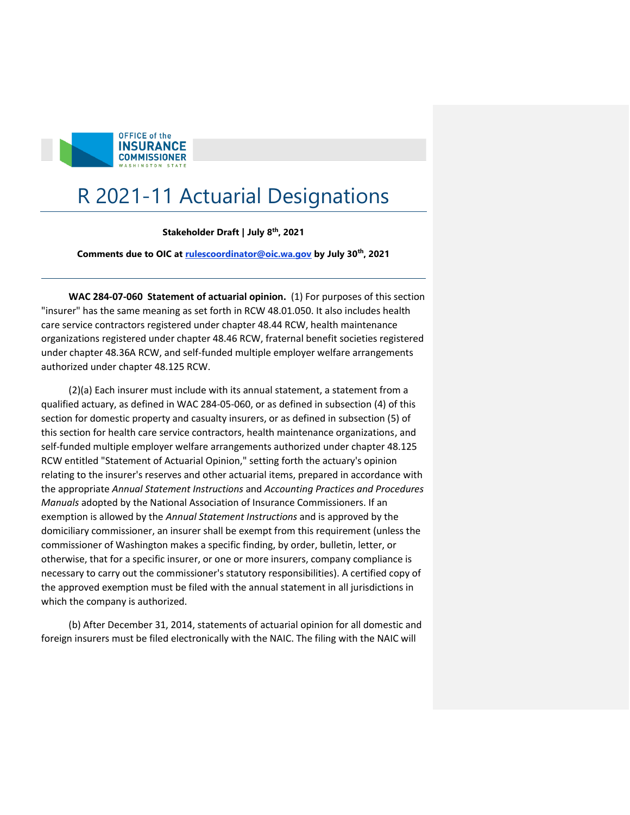

## R 2021-11 Actuarial Designations

## **Stakeholder Draft | July 8th, 2021**

**Comments due to OIC at [rulescoordinator@oic.wa.gov](mailto:rulescoordinator@oic.wa.gov) by July 30th, 2021** 

 **WAC 284-07-060 Statement of actuarial opinion.** (1) For purposes of this section "insurer" has the same meaning as set forth in RCW 48.01.050. It also includes health care service contractors registered under chapter 48.44 RCW, health maintenance organizations registered under chapter 48.46 RCW, fraternal benefit societies registered under chapter 48.36A RCW, and self-funded multiple employer welfare arrangements authorized under chapter 48.125 RCW.

 (2)(a) Each insurer must include with its annual statement, a statement from a qualified actuary, as defined in WAC 284-05-060, or as defined in subsection (4) of this section for domestic property and casualty insurers, or as defined in subsection (5) of this section for health care service contractors, health maintenance organizations, and self-funded multiple employer welfare arrangements authorized under chapter 48.125 RCW entitled "Statement of Actuarial Opinion," setting forth the actuary's opinion relating to the insurer's reserves and other actuarial items, prepared in accordance with *Manuals* adopted by the National Association of Insurance Commissioners. If an exemption is allowed by the *Annual Statement Instructions* and is approved by the domiciliary commissioner, an insurer shall be exempt from this requirement (unless the commissioner of Washington makes a specific finding, by order, bulletin, letter, or otherwise, that for a specific insurer, or one or more insurers, company compliance is necessary to carry out the commissioner's statutory responsibilities). A certified copy of the approved exemption must be filed with the annual statement in all jurisdictions in the appropriate *Annual Statement Instructions* and *Accounting Practices and Procedures*  which the company is authorized.

 (b) After December 31, 2014, statements of actuarial opinion for all domestic and foreign insurers must be filed electronically with the NAIC. The filing with the NAIC will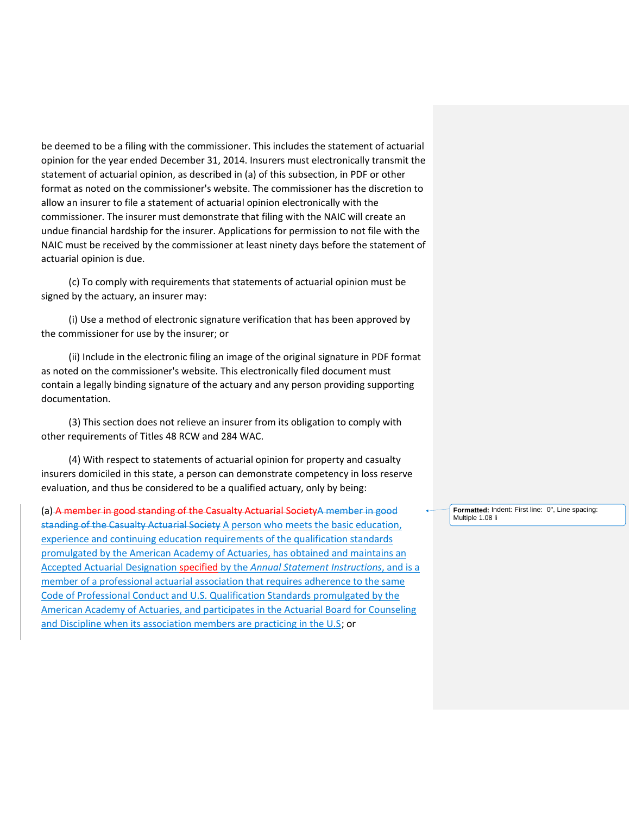be deemed to be a filing with the commissioner. This includes the statement of actuarial opinion for the year ended December 31, 2014. Insurers must electronically transmit the statement of actuarial opinion, as described in (a) of this subsection, in PDF or other format as noted on the commissioner's website. The commissioner has the discretion to allow an insurer to file a statement of actuarial opinion electronically with the commissioner. The insurer must demonstrate that filing with the NAIC will create an undue financial hardship for the insurer. Applications for permission to not file with the actuarial opinion is due. NAIC must be received by the commissioner at least ninety days before the statement of

 (c) To comply with requirements that statements of actuarial opinion must be signed by the actuary, an insurer may:

 (i) Use a method of electronic signature verification that has been approved by the commissioner for use by the insurer; or

 (ii) Include in the electronic filing an image of the original signature in PDF format as noted on the commissioner's website. This electronically filed document must contain a legally binding signature of the actuary and any person providing supporting documentation.

 (3) This section does not relieve an insurer from its obligation to comply with other requirements of Titles 48 RCW and 284 WAC.

 (4) With respect to statements of actuarial opinion for property and casualty insurers domiciled in this state, a person can demonstrate competency in loss reserve evaluation, and thus be considered to be a qualified actuary, only by being:

(a) A member in good standing of the Casualty Actuarial SocietyA member in good Frematted: In Express of the Casualty Actuarial SocietyA member in good standing of the Casualty Actuarial Society A person who meets the basic education, experience and continuing education requirements of the qualification standards promulgated by the American Academy of Actuaries, has obtained and maintains an Accepted Actuarial Designation specified by the *Annual Statement Instructions*, and is a Code of Professional Conduct and U.S. Qualification Standards promulgated by the American Academy of Actuaries, and participates in the Actuarial Board for Counseling member of a professional actuarial association that requires adherence to the same and Discipline when its association members are practicing in the U.S; or

 **Formatted:** Indent: First line: 0", Line spacing: Multiple 1.08 li